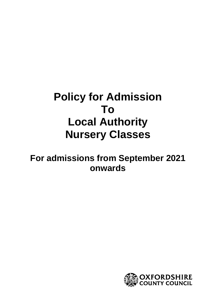# **Policy for Admission To Local Authority Nursery Classes**

# **For admissions from September 2021 onwards**

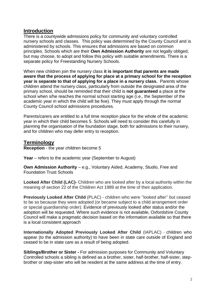#### **Introduction**

There is a countywide admissions policy for community and voluntary controlled nursery schools and classes. This policy was determined by the County Council and is administered by schools. This ensures that admissions are based on common principles. Schools which are their **Own Admission Authority** are not legally obliged, but may choose, to adopt and follow this policy with suitable amendments. There is a separate policy for Freestanding Nursery Schools.

When new children join the nursery class **it is important that parents are made aware that the process of applying for place at a primary school for the reception year is separate to that of applying for a place in a nursery class.** Parents whose children attend the nursery class, particularly from outside the designated area of the primary school, should be reminded that their child is **not guaranteed** a place at the school when s/he reaches the normal school starting age (i.e., the September of the academic year in which the child will be five). They must apply through the normal County Council school admissions procedures.

Parents/carers are entitled to a full time reception place for the whole of the academic year in which their child becomes 5. Schools will need to consider this carefully in planning the organisation of the foundation stage, both for admissions to their nursery, and for children who may defer entry to reception.

#### **Terminology**

**Reception** - the year children become 5

**Year** – refers to the academic year (September to August)

**Own Admission Authority** – e.g., Voluntary Aided, Academy, Studio, Free and Foundation Trust Schools

**Looked After Child (LAC)-** Children who are looked after by a local authority within the meaning of section 22 of the Children Act 1989 at the time of their application.

**Previously Looked After Child** (PLAC) - children who were ''looked after'' but ceased to be so because they were adopted (or became subject to a child arrangement order or special guardianship order). Evidence of previously looked after status and/or the adoption will be requested. Where such evidence is not available, Oxfordshire County Council will make a pragmatic decision based on the information available so that there is a local consistent approach

**Internationally Adopted Previously Looked After Child** (IAPLAC) - children who appear (to the admission authority) to have been in state care outside of England and ceased to be in state care as a result of being adopted.

**Siblings/Brother or Sister -** For admission purposes for Community and Voluntary Controlled schools a sibling is defined as a brother, sister, half-brother, half-sister, stepbrother or step-sister who will be resident at the same address at the time of entry.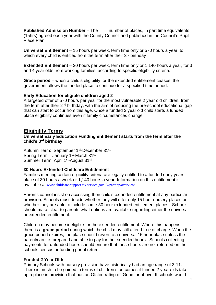**Published Admission Number** – The number of places, in part time equivalents (15hrs) agreed each year with the County Council and published in the Council's Pupil Place Plan.

**Universal Entitlement** – 15 hours per week, term time only or 570 hours a year, to which every child is entitled from the term after their  $3<sup>rd</sup>$  birthday

**Extended Entitlement** – 30 hours per week, term time only or 1,140 hours a year, for 3 and 4 year olds from working families, according to specific eligibility criteria.

**Grace period** – when a child's eligibility for the extended entitlement ceases, the government allows the funded place to continue for a specified time period.

#### **Early Education for eligible children aged 2**

A targeted offer of 570 hours per year for the most vulnerable 2 year old children, from the term after their  $2<sup>nd</sup>$  birthday, with the aim of reducing the pre-school educational gap that can start to occur from this age. Once a funded 2 year old child starts a funded place eligibility continues even if family circumstances change.

#### **Eligibility Terms**

#### **Universal Early Education Funding entitlement starts from the term after the child's 3rd birthday**

Autumn Term: September 1st-December 31st Spring Term: January 1<sup>st</sup>-March 31<sup>st</sup> Summer Term: April 1<sup>st</sup>-August 31<sup>st</sup>

#### **30 Hours Extended Childcare Entitlement**

Families meeting certain eligibility criteria are legally entitled to a funded early years place of 30 hours a week or 1,140 hours a year. Information on this entitlement is available at [www.childcare-support.tax.service.gov.uk/par/app/overview](https://childcare-support.tax.service.gov.uk/par/app/overview)

Parents cannot insist on accessing their child's extended entitlement at any particular provision. Schools must decide whether they will offer only 15 hour nursery places or whether they are able to include some 30 hour extended entitlement places. Schools should make clear to parents what options are available regarding either the universal or extended entitlement.

Children may become ineligible for the extended entitlement. Where this happens, there is a **grace period** during which the child may still attend free of charge. When the grace period expires, the place should revert to a universal 15 hour place unless the parent/carer is prepared and able to pay for the extended hours. Schools collecting payments for unfunded hours should ensure that those hours are not returned on the schools census or funding portal return.

#### **Funded 2 Year Olds**

Primary Schools with nursery provision have historically had an age range of 3-11. There is much to be gained in terms of children's outcomes if funded 2 year olds take up a place in provision that has an Ofsted rating of 'Good' or above. If schools would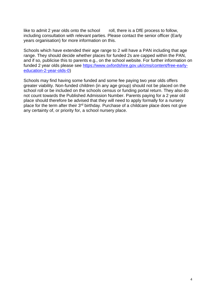like to admit 2 year olds onto the school roll, there is a DfE process to follow, including consultation with relevant parties. Please contact the senior officer (Early years organisation) for more information on this.

Schools which have extended their age range to 2 will have a PAN including that age range. They should decide whether places for funded 2s are capped within the PAN, and if so, publicise this to parents e.g., on the school website. For further information on funded 2 year olds please see [https://www.oxfordshire.gov.uk/cms/content/free-early](https://www.oxfordshire.gov.uk/cms/content/free-early-education-2-year-olds-0)[education-2-year-olds-0\)](https://www.oxfordshire.gov.uk/cms/content/free-early-education-2-year-olds-0)

Schools may find having some funded and some fee paying two year olds offers greater viability. Non-funded children (in any age group) should not be placed on the school roll or be included on the schools census or funding portal return. They also do not count towards the Published Admission Number. Parents paying for a 2 year old place should therefore be advised that they will need to apply formally for a nursery place for the term after their 3rd birthday. Purchase of a childcare place does not give any certainty of, or priority for, a school nursery place.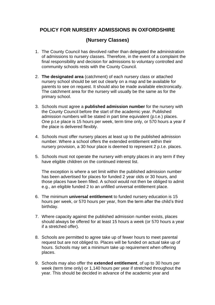## **POLICY FOR NURSERY ADMISSIONS IN OXFORDSHIRE**

## **(Nursery Classes)**

- 1. The County Council has devolved rather than delegated the administration of admissions to nursery classes. Therefore, in the event of a complaint the final responsibility and decision for admissions to voluntary controlled and community schools rests with the County Council.
- 2. **The designated area** (catchment) of each nursery class or attached nursery school should be set out clearly on a map and be available for parents to see on request. It should also be made available electronically. The catchment area for the nursery will usually be the same as for the primary school.
- 3. Schools must agree a **published admission number** for the nursery with the County Council before the start of the academic year. Published admission numbers will be stated in part time equivalent (p.t.e.) places. One p.t.e place is 15 hours per week, term time only, or 570 hours a year if the place is delivered flexibly.
- 4. Schools must offer nursery places at least up to the published admission number. Where a school offers the extended entitlement within their nursery provision, a 30 hour place is deemed to represent 2 p.t.e. places.
- 5. Schools must not operate the nursery with empty places in any term if they have eligible children on the continued interest list.

The exception is where a set limit within the published admission number has been advertised for places for funded 2 year olds or 30 hours, and those places have been filled. A school would not then be obliged to admit e.g., an eligible funded 2 to an unfilled universal entitlement place.

- 6. The minimum **universal entitlement** to funded nursery education is 15 hours per week, or 570 hours per year, from the term after the child's third birthday.
- 7. Where capacity against the published admission number exists, places should always be offered for at least 15 hours a week (or 570 hours a year if a stretched offer).
- 8. Schools are permitted to agree take up of fewer hours to meet parental request but are not obliged to. Places will be funded on actual take up of hours. Schools may set a minimum take up requirement when offering places.
- 9. Schools may also offer the **extended entitlement**, of up to 30 hours per week (term time only) or 1,140 hours per year if stretched throughout the year. This should be decided in advance of the academic year and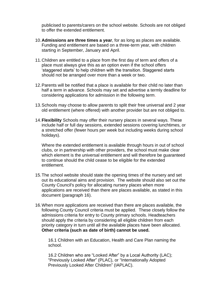publicised to parents/carers on the school website. Schools are not obliged to offer the extended entitlement.

- 10.**Admissions are three times a year**, for as long as places are available. Funding and entitlement are based on a three-term year, with children starting in September, January and April.
- 11.Children are entitled to a place from the first day of term and offers of a place must always give this as an option even if the school offers 'staggered starts' to help children with the transition. Staggered starts should not be arranged over more than a week or two.
- 12.Parents will be notified that a place is available for their child no later than half a term in advance. Schools may set and advertise a termly deadline for considering applications for admission in the following term.
- 13.Schools may choose to allow parents to split their free universal and 2 year old entitlement (where offered) with another provider but are not obliged to.
- 14.**Flexibility** Schools may offer their nursery places in several ways. These include half or full day sessions, extended sessions covering lunchtimes, or a stretched offer (fewer hours per week but including weeks during school holidays).

Where the extended entitlement is available through hours in out of school clubs, or in partnership with other providers, the school must make clear which element is the universal entitlement and will therefore be guaranteed to continue should the child cease to be eligible for the extended entitlement.

- 15.The school website should state the opening times of the nursery and set out its educational aims and provision. The website should also set out the County Council's policy for allocating nursery places when more applications are received than there are places available, as stated in this document (paragraph 16).
- 16.When more applications are received than there are places available, the following County Council criteria must be applied. These closely follow the admissions criteria for entry to County primary schools. Headteachers should apply the criteria by considering all eligible children from each priority category in turn until all the available places have been allocated. **Other criteria (such as date of birth) cannot be used.**

16.1 Children with an Education, Health and Care Plan naming the school.

16.2 Children who are "Looked After" by a Local Authority (LAC); "Previously Looked After" (PLAC), or "Internationally Adopted Previously Looked After Children" (IAPLAC).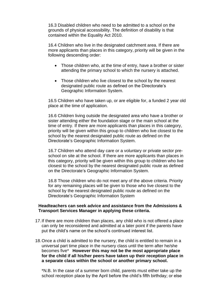16.3 Disabled children who need to be admitted to a school on the grounds of physical accessibility. The definition of disability is that contained within the Equality Act 2010.

16.4 Children who live in the designated catchment area. If there are more applicants than places in this category, priority will be given in the following descending order:

- Those children who, at the time of entry, have a brother or sister attending the primary school to which the nursery is attached.
- Those children who live closest to the school by the nearest designated public route as defined on the Directorate's Geographic Information System.

16.5 Children who have taken up, or are eligible for, a funded 2 year old place at the time of application.

16.6 Children living outside the designated area who have a brother or sister attending either the foundation stage or the main school at the time of entry. If there are more applicants than places in this category, priority will be given within this group to children who live closest to the school by the nearest designated public route as defined on the Directorate's Geographic Information System.

16.7 Children who attend day care or a voluntary or private sector preschool on site at the school. If there are more applicants than places in this category, priority will be given within this group to children who live closest to the school by the nearest designated public route as defined on the Directorate's Geographic Information System.

16.8 Those children who do not meet any of the above criteria. Priority for any remaining places will be given to those who live closest to the school by the nearest designated public route as defined on the Directorate's Geographic Information System

#### **Headteachers can seek advice and assistance from the Admissions & Transport Services Manager in applying these criteria.**

- 17.If there are more children than places, any child who is not offered a place can only be reconsidered and admitted at a later point if the parents have put the child's name on the school's continued interest list.
- 18.Once a child is admitted to the nursery, the child is entitled to remain in a universal part time place in the nursery class until the term after he/she becomes five\* **However this may not be the most appropriate place for the child if all his/her peers have taken up their reception place in a separate class within the school or another primary school.**

\*N.B. In the case of a summer born child, parents must either take up the school reception place by the April before the child's fifth birthday; or else